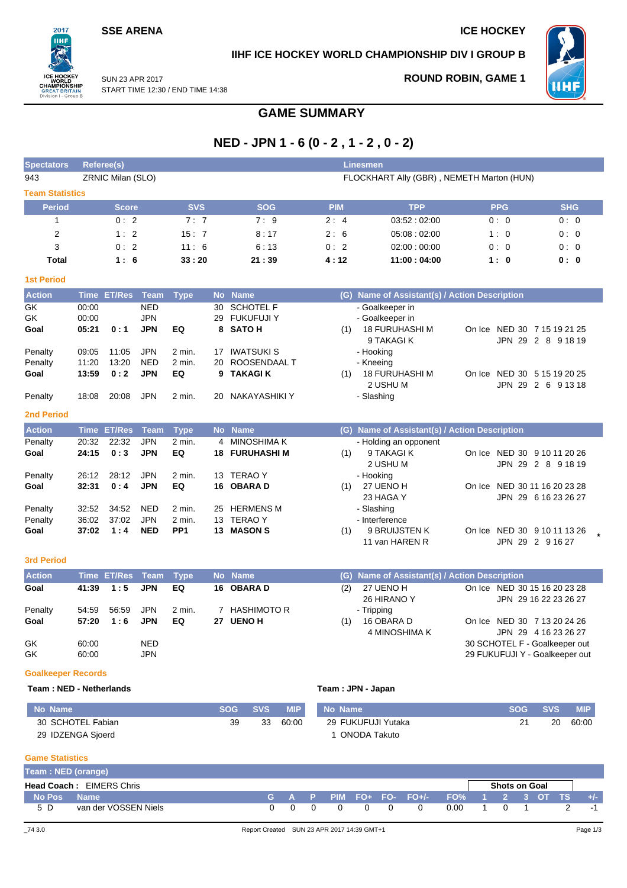## **SSE ARENA ICE HOCKEY**

 $2017$ пні

**REATI** on I - Gro

## **IIHF ICE HOCKEY WORLD CHAMPIONSHIP DIV I GROUP B**



SUN 23 APR 2017 START TIME 12:30 / END TIME 14:38

# **ROUND ROBIN, GAME 1**

# **GAME SUMMARY**

# **NED - JPN 1 - 6 (0 - 2 , 1 - 2 , 0 - 2)**

| <b>Spectators</b>         |                | <b>Referee(s)</b>  |                          |                      |                                           |                                   |            | <b>Linesmen</b>                               |                                                 |                       |  |  |
|---------------------------|----------------|--------------------|--------------------------|----------------------|-------------------------------------------|-----------------------------------|------------|-----------------------------------------------|-------------------------------------------------|-----------------------|--|--|
| 943                       |                | ZRNIC Milan (SLO)  |                          |                      | FLOCKHART Ally (GBR), NEMETH Marton (HUN) |                                   |            |                                               |                                                 |                       |  |  |
| <b>Team Statistics</b>    |                |                    |                          |                      |                                           |                                   |            |                                               |                                                 |                       |  |  |
| <b>Period</b>             |                | <b>Score</b>       |                          | <b>SVS</b>           |                                           | <b>SOG</b>                        | <b>PIM</b> | <b>TPP</b>                                    | <b>PPG</b>                                      | <b>SHG</b>            |  |  |
| $\mathbf{1}$              |                | 0:2                |                          | 7:7                  |                                           | 7:9                               | 2:4        | 03:52:02:00                                   | 0:0                                             | 0:0                   |  |  |
| $\overline{2}$            |                | 1:2                |                          | 15:7                 |                                           | 8:17                              | 2:6        | 05:08:02:00                                   | 1:0                                             | 0:0                   |  |  |
| 3                         |                | 0:2                |                          | 11:6                 |                                           | 6:13                              | 0:2        | 02:00:00:00                                   | 0:0                                             | 0:0                   |  |  |
| <b>Total</b>              |                | 1:6                |                          | 33:20                |                                           | 21:39                             | 4:12       | 11:00:04:00                                   | 1:0                                             | 0: 0                  |  |  |
| <b>1st Period</b>         |                |                    |                          |                      |                                           |                                   |            |                                               |                                                 |                       |  |  |
| <b>Action</b>             |                | Time ET/Res Team   |                          | <b>Type</b>          |                                           | No Name                           |            | (G) Name of Assistant(s) / Action Description |                                                 |                       |  |  |
| GK                        | 00:00          |                    | <b>NED</b>               |                      | 30                                        | <b>SCHOTEL F</b>                  |            | - Goalkeeper in                               |                                                 |                       |  |  |
| GK                        | 00:00          |                    | <b>JPN</b>               |                      | 29                                        | <b>FUKUFUJI Y</b>                 |            | - Goalkeeper in                               |                                                 |                       |  |  |
| Goal                      | 05:21          | 0:1                | <b>JPN</b>               | EQ                   |                                           | 8 SATO H                          | (1)        | <b>18 FURUHASHI M</b>                         | On Ice NED 30 7 15 19 21 25                     |                       |  |  |
|                           |                |                    |                          |                      |                                           |                                   |            | 9 TAKAGI K                                    |                                                 | JPN 29 2 8 9 18 19    |  |  |
| Penalty<br>Penalty        | 09:05<br>11:20 | 11:05<br>13:20     | <b>JPN</b><br><b>NED</b> | $2$ min.<br>$2$ min. | 17<br>20                                  | <b>IWATSUKI S</b><br>ROOSENDAAL T |            | - Hooking<br>- Kneeing                        |                                                 |                       |  |  |
| Goal                      | 13:59          | 0:2                | <b>JPN</b>               | EQ                   | 9                                         | <b>TAKAGI K</b>                   | (1)        | 18 FURUHASHI M                                | On Ice NED 30 5 15 19 20 25                     |                       |  |  |
|                           |                |                    |                          |                      |                                           |                                   |            | 2 USHU M                                      |                                                 | JPN 29 2 6 91318      |  |  |
| Penalty                   | 18:08          | 20:08              | <b>JPN</b>               | 2 min.               | 20                                        | NAKAYASHIKI Y                     |            | - Slashing                                    |                                                 |                       |  |  |
| <b>2nd Period</b>         |                |                    |                          |                      |                                           |                                   |            |                                               |                                                 |                       |  |  |
| <b>Action</b>             |                | Time ET/Res        | <b>Team</b>              | <b>Type</b>          |                                           | No Name                           |            | (G) Name of Assistant(s) / Action Description |                                                 |                       |  |  |
| Penalty                   | 20:32          | 22:32              | <b>JPN</b>               | $2$ min.             | 4                                         | <b>MINOSHIMA K</b>                |            | - Holding an opponent                         |                                                 |                       |  |  |
| Goal                      | 24:15          | 0:3                | <b>JPN</b>               | EQ                   | 18                                        | <b>FURUHASHI M</b>                | (1)        | 9 TAKAGI K                                    | On Ice NED 30 9 10 11 20 26                     |                       |  |  |
|                           |                |                    |                          |                      |                                           |                                   |            | 2 USHU M                                      |                                                 | JPN 29 2 8 91819      |  |  |
| Penalty                   | 26:12          | 28:12              | <b>JPN</b>               | $2$ min.             |                                           | 13 TERAO Y                        |            | - Hooking                                     |                                                 |                       |  |  |
| Goal                      | 32:31          | 0:4                | <b>JPN</b>               | EQ                   |                                           | 16 OBARA D                        | (1)        | 27 UENO H                                     | On Ice NED 30 11 16 20 23 28                    |                       |  |  |
|                           |                |                    |                          |                      |                                           |                                   |            | 23 HAGA Y                                     |                                                 | JPN 29 6 16 23 26 27  |  |  |
| Penalty                   | 32:52          | 34:52              | <b>NED</b>               | 2 min.               | 25                                        | <b>HERMENS M</b>                  |            | - Slashing                                    |                                                 |                       |  |  |
| Penalty                   | 36:02          | 37:02              | <b>JPN</b>               | $2$ min.             |                                           | 13 TERAO Y                        |            | - Interference                                |                                                 |                       |  |  |
| Goal                      | 37:02          | 1:4                | <b>NED</b>               | PP <sub>1</sub>      |                                           | 13 MASON S                        | (1)        | 9 BRUIJSTEN K<br>11 van HAREN R               | On Ice NED 30 9 10 11 13 26<br>JPN 29 2 9 16 27 |                       |  |  |
| <b>3rd Period</b>         |                |                    |                          |                      |                                           |                                   |            |                                               |                                                 |                       |  |  |
| <b>Action</b>             |                | <b>Time ET/Res</b> | <b>Team</b>              | <b>Type</b>          |                                           | No Name                           |            | (G) Name of Assistant(s) / Action Description |                                                 |                       |  |  |
| Goal                      | 41:39          | 1:5                | <b>JPN</b>               | EQ                   |                                           | 16 OBARA D                        | (2)        | 27 UENO H                                     | On Ice NED 30 15 16 20 23 28                    |                       |  |  |
|                           |                |                    |                          |                      |                                           |                                   |            | 26 HIRANO Y                                   |                                                 | JPN 29 16 22 23 26 27 |  |  |
| Penalty                   | 54:59          | 56:59              | <b>JPN</b>               | $2$ min.             |                                           | 7 HASHIMOTO R                     |            | - Tripping                                    |                                                 |                       |  |  |
| Goal                      | 57:20          | 1:6                | <b>JPN</b>               | EQ                   |                                           | 27 UENO H                         | (1)        | 16 OBARA D<br>4 MINOSHIMA K                   | On Ice NED 30 7 13 20 24 26                     | JPN 29 4 16 23 26 27  |  |  |
| GK                        | 60:00          |                    | <b>NED</b>               |                      |                                           |                                   |            |                                               | 30 SCHOTEL F - Goalkeeper out                   |                       |  |  |
| GK                        | 60:00          |                    | <b>JPN</b>               |                      |                                           |                                   |            |                                               | 29 FUKUFUJI Y - Goalkeeper out                  |                       |  |  |
|                           |                |                    |                          |                      |                                           |                                   |            |                                               |                                                 |                       |  |  |
| <b>Goalkeeper Records</b> |                |                    |                          |                      |                                           |                                   |            |                                               |                                                 |                       |  |  |

### **Team : NED - Netherlands Team : JPN - Japan**

| l No Name         | <b>SOG</b> | <b>SVS</b> | <b>MIP</b> | No Name            | <b>SOG</b> | <b>SVS</b> | <b>MIP</b> |
|-------------------|------------|------------|------------|--------------------|------------|------------|------------|
| 30 SCHOTEL Fabian | 39         | 33         | 60:00      | 29 FUKUFUJI Yutaka |            | 20         | 60:00      |
| 29 IDZENGA Sjoerd |            |            |            | ONODA Takuto       |            |            |            |

### **Game Statistics**

| Team: NED (orange) |                                 |          |  |  |                         |                 |                      |  |  |
|--------------------|---------------------------------|----------|--|--|-------------------------|-----------------|----------------------|--|--|
|                    | <b>Head Coach: EIMERS Chris</b> |          |  |  |                         |                 | <b>Shots on Goal</b> |  |  |
| No Pos             | <b>Name</b>                     |          |  |  | G A P PIM FO+ FO- FO+/- | FO% 1 2 3 OT TS |                      |  |  |
| 5 D                | van der VOSSEN Niels            | $\Omega$ |  |  | $\Omega$                | 0.00            |                      |  |  |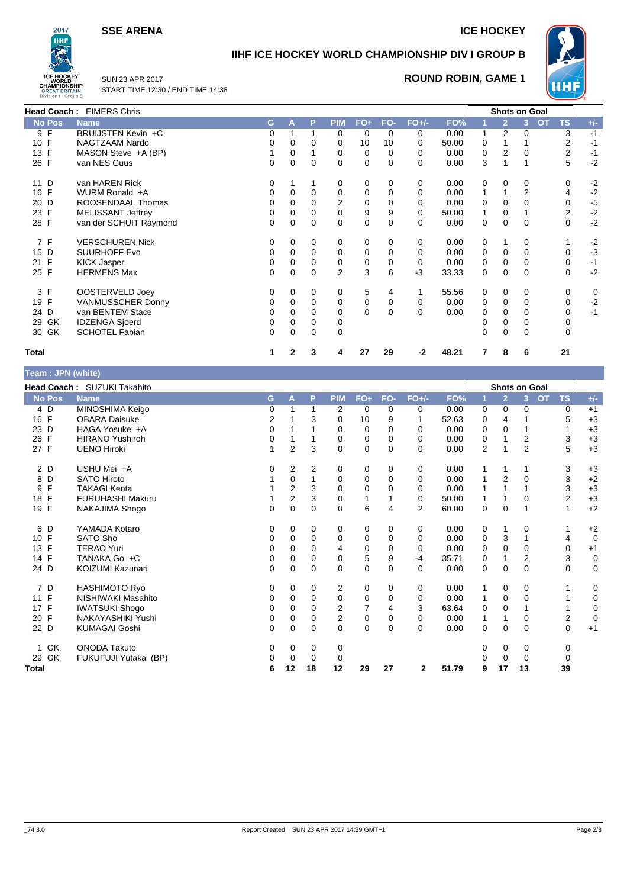**SSE ARENA ICE HOCKEY** 



# **IIHF ICE HOCKEY WORLD CHAMPIONSHIP DIV I GROUP B**



SUN 23 APR 2017 START TIME 12:30 / END TIME 14:38

# **ROUND ROBIN, GAME 1**

|               | <b>Head Coach: EIMERS Chris</b> |   |   |          |             |          |          |         |       |          |                | <b>Shots on Goal</b> |                        |       |
|---------------|---------------------------------|---|---|----------|-------------|----------|----------|---------|-------|----------|----------------|----------------------|------------------------|-------|
| <b>No Pos</b> | <b>Name</b>                     | G | A | P        | <b>PIM</b>  | $FO+$    | FO-      | $FO+/-$ | FO%   |          | $\overline{2}$ | 3                    | <b>TS</b><br><b>OT</b> | $+/-$ |
| 9 F           | BRUIJSTEN Kevin +C              | 0 |   |          | 0           | 0        | 0        | 0       | 0.00  | 1        | 2              | 0                    | 3                      | $-1$  |
| 10 F          | NAGTZAAM Nardo                  | 0 | 0 | $\Omega$ | 0           | 10       | 10       | 0       | 50.00 | 0        |                |                      | 2                      | $-1$  |
| 13 F          | MASON Steve +A (BP)             |   | 0 |          | 0           | 0        | 0        | 0       | 0.00  | 0        | 2              | $\Omega$             | 2                      | $-1$  |
| 26 F          | van NES Guus                    | 0 | 0 | $\Omega$ | $\mathbf 0$ | $\Omega$ | 0        | 0       | 0.00  | 3        |                |                      | 5                      | $-2$  |
| 11 D          | van HAREN Rick                  | 0 |   |          | 0           | $\Omega$ | 0        | 0       | 0.00  | 0        | $\Omega$       | $\Omega$             | 0                      | $-2$  |
| 16 F          | WURM Ronald +A                  | 0 | 0 | $\Omega$ | 0           | 0        | 0        | 0       | 0.00  | 1        |                | 2                    | 4                      | $-2$  |
| 20 D          | ROOSENDAAL Thomas               |   | 0 | $\Omega$ | 2           | $\Omega$ | 0        | 0       | 0.00  | $\Omega$ | 0              |                      | 0                      | $-5$  |
| 23 F          | <b>MELISSANT Jeffrey</b>        |   | 0 | 0        | 0           | 9        | 9        | 0       | 50.00 | 1        | 0              |                      | 2                      | $-2$  |
| 28 F          | van der SCHUIT Raymond          | 0 | 0 | $\Omega$ | 0           | $\Omega$ | 0        | 0       | 0.00  | 0        | 0              | $\Omega$             | $\Omega$               | $-2$  |
| 7 F           | <b>VERSCHUREN Nick</b>          | 0 | 0 | 0        | 0           | $\Omega$ | 0        | 0       | 0.00  | 0        |                | $\Omega$             |                        | $-2$  |
| 15 D          | <b>SUURHOFF Evo</b>             | 0 | 0 | $\Omega$ | $\Omega$    | $\Omega$ | 0        | 0       | 0.00  | 0        | $\Omega$       | 0                    | 0                      | $-3$  |
| 21 F          | <b>KICK Jasper</b>              | 0 | 0 | $\Omega$ | 0           | $\Omega$ | 0        | 0       | 0.00  | 0        | $\Omega$       |                      | 0                      | $-1$  |
| 25 F          | <b>HERMENS Max</b>              | 0 | 0 | 0        | 2           | 3        | 6        | $-3$    | 33.33 | 0        | 0              | 0                    | 0                      | $-2$  |
| 3 F           | OOSTERVELD Joey                 | 0 | 0 | 0        | 0           | 5        | 4        |         | 55.56 | 0        | 0              | $\Omega$             | 0                      | 0     |
| 19 F          | <b>VANMUSSCHER Donny</b>        | 0 | 0 | $\Omega$ | 0           | $\Omega$ | 0        | 0       | 0.00  | 0        | $\Omega$       | 0                    | 0                      | $-2$  |
| 24 D          | van BENTEM Stace                | 0 | 0 | $\Omega$ | 0           | $\Omega$ | $\Omega$ | 0       | 0.00  | 0        | 0              | 0                    | 0                      | $-1$  |
| 29 GK         | <b>IDZENGA Sjoerd</b>           | 0 | 0 | $\Omega$ | 0           |          |          |         |       | 0        | 0              |                      | 0                      |       |
| 30 GK         | <b>SCHOTEL Fabian</b>           | 0 | 0 | 0        | 0           |          |          |         |       | 0        | 0              | 0                    | $\Omega$               |       |
| <b>Total</b>  |                                 |   | 2 | 3        | 4           | 27       | 29       | -2      | 48.21 | 7        | 8              | 6                    | 21                     |       |

| Team : JPN (white) |                             |             |                |          |                |              |             |                |       |                |                      |                |           |                  |             |
|--------------------|-----------------------------|-------------|----------------|----------|----------------|--------------|-------------|----------------|-------|----------------|----------------------|----------------|-----------|------------------|-------------|
|                    | Head Coach: SUZUKI Takahito |             |                |          |                |              |             |                |       |                | <b>Shots on Goal</b> |                |           |                  |             |
| <b>No Pos</b>      | <b>Name</b>                 | G           | A              | P        | <b>PIM</b>     | $FO+$        | FO-         | $FO+/-$        | FO%   | 1              | $\overline{2}$       | 3 <sup>1</sup> | <b>OT</b> | <b>TS</b>        | $+/-$       |
| 4 D                | MINOSHIMA Keigo             | 0           | 1              | 1        | 2              | $\mathbf 0$  | 0           | 0              | 0.00  | 0              | 0                    | 0              |           | 0                | $+1$        |
| 16 F               | <b>OBARA Daisuke</b>        | 2           |                | 3        | $\Omega$       | 10           | 9           | 1              | 52.63 | 0              | $\overline{4}$       |                |           | 5                | $+3$        |
| 23 D               | HAGA Yosuke +A              | $\mathbf 0$ |                |          | 0              | $\mathbf 0$  | 0           | 0              | 0.00  | 0              | $\mathbf 0$          |                |           | 1                | $+3$        |
| $\mathsf{F}$<br>26 | <b>HIRANO Yushiroh</b>      | 0           |                |          | 0              | 0            | $\mathbf 0$ | 0              | 0.00  | 0              | 1                    | 2              |           | 3                | $+3$        |
| 27 F               | <b>UENO Hiroki</b>          | 1           | $\overline{2}$ | 3        | $\Omega$       | $\mathbf 0$  | $\Omega$    | $\Omega$       | 0.00  | $\overline{2}$ | 1                    | $\overline{2}$ |           | 5                | $+3$        |
| 2 D                | USHU Mei +A                 | 0           | $\overline{2}$ | 2        | 0              | 0            | 0           | 0              | 0.00  | 1              | 1                    |                |           | 3                | $+3$        |
| D<br>8             | <b>SATO Hiroto</b>          |             | 0              |          | 0              | 0            | 0           | 0              | 0.00  | 1              | $\overline{2}$       | 0              |           | 3                | $+2$        |
| F<br>9             | <b>TAKAGI Kenta</b>         |             | $\overline{2}$ | 3        | 0              | 0            | 0           | 0              | 0.00  | 1              | 1                    |                |           | 3                | $+3$        |
| $\mathsf{F}$<br>18 | <b>FURUHASHI Makuru</b>     |             | $\overline{2}$ | 3        | 0              | $\mathbf{1}$ |             | 0              | 50.00 | 1              | 1                    | 0              |           | $\overline{c}$   | $+3$        |
| 19 F               | <b>NAKAJIMA Shogo</b>       | $\Omega$    | $\mathbf 0$    | $\Omega$ | $\Omega$       | 6            | 4           | $\overline{2}$ | 60.00 | 0              | $\mathbf 0$          | 1              |           | 1                | $+2$        |
| D<br>6             | YAMADA Kotaro               | 0           | 0              | 0        | 0              | 0            | 0           | 0              | 0.00  | 0              | 1                    | 0              |           | 1                | $+2$        |
| $\mathsf{F}$<br>10 | <b>SATO Sho</b>             | 0           | 0              | 0        | 0              | 0            | 0           | 0              | 0.00  | 0              | 3                    | 1              |           | 4                | $\mathbf 0$ |
| F<br>13            | <b>TERAO Yuri</b>           | $\Omega$    | $\Omega$       | 0        | 4              | 0            | $\Omega$    | $\Omega$       | 0.00  | 0              | $\mathbf 0$          | 0              |           | 0                | $+1$        |
| 14 F               | TANAKA Go +C                | 0           | 0              | 0        | 0              | $\sqrt{5}$   | 9           | $-4$           | 35.71 | 0              | 1                    | 2              |           | 3                | 0           |
| 24 D               | KOIZUMI Kazunari            | $\Omega$    | $\mathbf 0$    | 0        | $\Omega$       | 0            | $\Omega$    | $\Omega$       | 0.00  | 0              | $\mathbf 0$          | $\Omega$       |           | $\mathbf 0$      | 0           |
| 7 D                | <b>HASHIMOTO Ryo</b>        | 0           | 0              | 0        | 2              | 0            | 0           | 0              | 0.00  | 1              | 0                    | 0              |           | 1                | 0           |
| $\mathsf{F}$<br>11 | NISHIWAKI Masahito          | $\Omega$    | $\Omega$       | $\Omega$ | $\mathbf 0$    | 0            | $\mathbf 0$ | 0              | 0.00  | 1              | $\mathbf 0$          | $\Omega$       |           | 1                | 0           |
| 17 F               | <b>IWATSUKI Shogo</b>       | 0           | $\Omega$       | 0        | 2              | 7            | 4           | 3              | 63.64 | 0              | $\Omega$             |                |           | 1                | 0           |
| 20 F               | NAKAYASHIKI Yushi           | 0           | 0              | 0        | $\overline{2}$ | 0            | 0           | 0              | 0.00  | 1              | 1                    | 0              |           | $\boldsymbol{2}$ | $\mathbf 0$ |
| 22 D               | <b>KUMAGAI Goshi</b>        | $\Omega$    | $\mathbf 0$    | $\Omega$ | $\Omega$       | 0            | $\Omega$    | $\Omega$       | 0.00  | $\Omega$       | $\mathbf 0$          | $\mathbf 0$    |           | $\mathbf 0$      | $+1$        |
| GK<br>1.           | <b>ONODA Takuto</b>         | 0           | 0              | 0        | 0              |              |             |                |       | 0              | 0                    | 0              |           | 0                |             |
| 29 GK              | FUKUFUJI Yutaka (BP)        | 0           | 0              | $\Omega$ | 0              |              |             |                |       | 0              | 0                    | 0              |           | 0                |             |
| <b>Total</b>       |                             | 6           | 12             | 18       | 12             | 29           | 27          | $\mathbf{2}$   | 51.79 | 9              | 17                   | 13             |           | 39               |             |